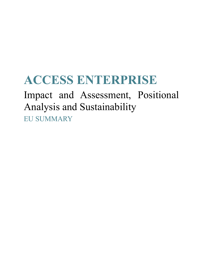# **ACCESS ENTERPRISE**

Impact and Assessment, Positional Analysis and Sustainability

EU SUMMARY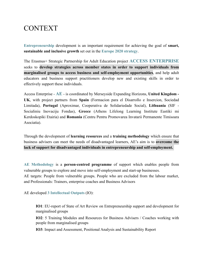# CONTEXT

**Entrepreneurship** development is an important requirement for achieving the goal of **smart, sustainable and inclusive growth** set out in the **Europe 2020 strategy**.

The Erasmus+ Strategic Partnership for Adult Education project **ACCESS ENTERPRISE** seeks to **develop strategies across member states in order to support individuals from marginalised groups to access business and self-employment opportunities**, and help adult educators and business support practitioners develop new and existing skills in order to effectively support these individuals.

Access Enterprise - **AE** - is coordinated by Merseyside Expanding Horizons, **United Kingdom - UK**, with project partners from **Spain** (Formacion para el Disarrollo e Insercion, Sociedad Limitada), **Portugal** (Aproximar, Cooperativa de Solidariedade Social), **Lithuania** (SIF - Socialiniu Inovaciju Fondas), **Greece** (Athens Lifelong Learning Institute Eastiki mi Kerdoskopiki Etairia) and **Romania** (Centru Pentru Promovarea Invatarii Permanente Timisoara Asociatia).

Through the development of **learning resources** and a **training methodology** which ensure that business advisers can meet the needs of disadvantaged learners, AE's aim is to **overcome the lack of support for disadvantaged individuals in entrepreneurship and self-employment.** 

**AE Methodology** is a **person-centred programme** of support which enables people from vulnerable groups to explore and move into self-employment and start-up businesses. AE targets: People from vulnerable groups, People who are excluded from the labour market,

and Professionals: Trainers, enterprise coaches and Business Advisors

AE developed **3 Intellectual Outputs** (IO):

**IO1**: EU-report of State of Art Review on Entrepreneurship support and development for marginalised groups

**IO2**: 5 Training Modules and Resources for Business Advisers / Coaches working with people from marginalised groups

**IO3**: Impact and Assessment, Positional Analysis and Sustainability Report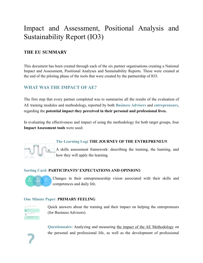# Impact and Assessment, Positional Analysis and Sustainability Report (IO3)

# **THE EU SUMMARY**

This document has been created through each of the six partner organisations creating a National Impact and Assessment, Positional Analyses and Sustainability Reports. These were created at the end of the piloting phase of the tools that were created by the partnership of IO3.

# **WHAT WAS THE IMPACT OF AE?**

The first step that every partner completed was to summarise all the results of the evaluation of AE training modules and methodology, reported by both **Business Advisers** and **entrepreneurs**, regarding the **potential impact they perceived in their personal and professional lives.** 

In evaluating the effectiveness and impact of using the methodology for both target groups, four **Impact Assessment tools** were used:



# **The Learning Log: THE JOURNEY OF THE ENTREPRENEU**R

A skills assessment framework: describing the training, the learning, and how they will apply the learning.

### **Sorting Card**: **PARTICIPANTS' EXPECTATIONS AND OPINION**S



Changes in their entrepreneurship vision associated with their skills and competences and daily life.

#### **One Minute Paper**: **PRIMARY FEELING**



Quick answers about the training and their impact on helping the entrepreneurs (for Business Advisors).

**Questionnaire**: Analyzing and measuring the impact of the AE Methodology on the personal and professional life, as well as the development of professional **?**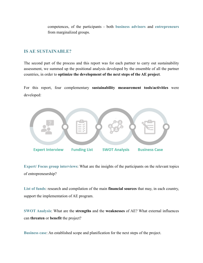competences, of the participants - both **business advisors** and **entrepreneurs** from marginalized groups.

#### **IS AE SUSTAINABLE?**

The second part of the process and this report was for each partner to carry out sustainability assessment, we summed up the positional analysis developed by the ensemble of all the partner countries, in order to **optimize the development of the next steps of the AE project**.

For this report, four complementary **sustainability measurement tools/activities** were developed:



**Expert/ Focus group interviews**: What are the insights of the participants on the relevant topics of entrepreneurship?

**List of funds**: research and compilation of the main **financial sources** that may, in each country, support the implementation of AE program.

**SWOT Analysis**: What are the **strengths** and the **weaknesses** of AE? What external influences can **threaten** or **benefit** the project?

**Business case**: An established scope and planification for the next steps of the project.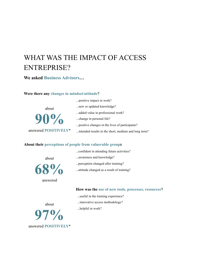# WHAT WAS THE IMPACT OF ACCESS ENTREPRISE?

### **We asked Business Advisors…**

#### **Were there any changes in mindset/attitude**?

|                      | positive impact in work?                             |
|----------------------|------------------------------------------------------|
| about<br>$90\%$      | new or updated knowledge?                            |
|                      | added value in professional work?                    |
|                      | change in personal life?                             |
|                      | positive changes in the lives of participants?       |
| answered POSITIVELY* | intended results in the short, medium and long term? |

#### **About their perceptions of people from vulnerable group**s

#### answered

# ...perception changed after training? ...attitude changed as a result of training?

...confident in attending future activities?

...awareness and knowledge?

#### **How was the use of new tools, processes, resources**?

- ...useful in the training experience?
- ...innovative access methodology?

...helpful in work?

about

**97%**

answered **POSITIVELY**\*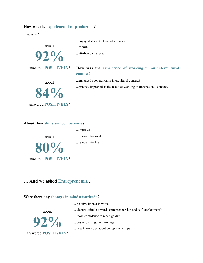#### **How was the experience of co-production?**

...realistic?

...engaged students' level of interest?

...robust?

**92%**

answered **POSITIVELY**\*

about

...attributed changes?

#### **How was the experience of working in an intercultural context?**

about

**84%** answered **POSITIVELY**\* ...practice improved as the result of working in transnational context?

...enhanced cooperation in intercultural context?

#### **About their skills and competencie**s



## **… And we asked Entrepreneurs…**

#### **Were there any changes in mindset/attitude**?

...change attitude towards entrepreneurship and self-employment? ...more confidence to reach goals? about **92%** answered **POSITIVELY**\*

...positive change in thinking? ...new knowledge about entrepreneurship?

...positive impact in work?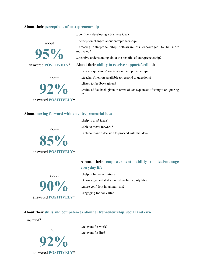#### **About their perceptions of entrepreneurship**

about

**95%**

answered **POSITIVELY**\*

about

**92%**

answered **POSITIVELY**\*

...confident developing a business idea?

...perception changed about entrepreneurship?

...creating entrepreneurship self-awareness encouraged to be more motivated?

...positive understanding about the benefits of entrepreneurship?

#### **About their ability to receive support/feedbac**k

- ...answer questions/doubts about entrepreneurship?
- ...teachers/mentors available to respond to questions?
- ...listen to feedback given?

...value of feedback given in terms of consequences of using it or ignoring it?

#### **About moving forward with an entrepreneurial idea**

...help to draft idea? ...able to move forward? ...able to make a decision to proceed with the idea? about **85%** answered **POSITIVELY**\*

### **About their empowerment: ability to deal/manage everyday life**



- ...help in future activities?
- ...knowledge and skills gained useful in daily life?
- ...more confident in taking risks?

...engaging for daily life?

#### **About their skills and competences about entrepreneurship, social and civic**

...improved?

...relevant for work? ...relevant for life?

**92%** answered **POSITIVELY**\*

about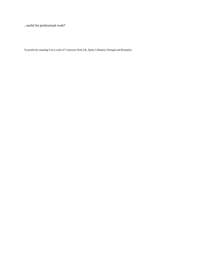...useful for professional work?

\*as positively meaning 4 on a scale of 5 (answers from UK, Spain, Lithuania, Portugal and Romania).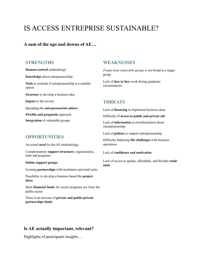# IS ACCESS ENTREPRISE SUSTAINABLE?

### **A sum of the ups and downs of AE…**

#### **STRENGTHS**

**Human-centred** methodology

**Knowledge** about entrepreneurship

**Tools** to evaluate if entrepreneurship is a suitable option

**Structure** to develop a business idea

**Impact** to the society

Spreading the **entrepreneurial culture** 

**Flexible and pragmatic** approach

**Integration** of vulnerable groups

### **OPPORTUNITIES**

An actual **need** for the AE methodology

Complementary **support structures**: organizations, hubs and programs

#### **Online support groups**

Existing **partnerships** with incubators and retail units

Possibility to develop a business based the **project ideas** 

Most **financial funds** for social programs are from the public sector

There is an increase of **private and public-private partnerships funds** 

# **WEAKNESSES**

*People from vulnerable groups* is too broad as a target group

Lack of **face to face** work during pandemic circumstances

### **THREATS**

Lack of **financing** to implement business ideas

Difficulty of **access to public and private aid** 

Lack of **information** or misinformation about entrepreneurship

Lack of **policies** to support entrepreneurship

Difficulty balancing **life challenges** with business operations

Lack of **confidence and motivation** 

Lack of access to quality, affordable, and flexible **retail units**

# **Is AE actually important, relevant?**

Highlights of participants insights…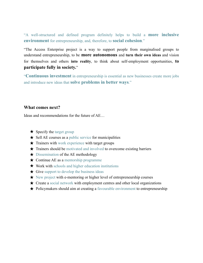"A well-structured and defined program definitely helps to build a **more inclusive environment** for entrepreneurship, and, therefore, to **social cohesion**."

"The Access Enterprise project is a way to support people from marginalised groups to understand entrepreneurship, to be **more autonomous** and **turn their own ideas** and vision for themselves and others **into reality**, to think about self-employment opportunities, **to participate fully in society.**"

"**Continuous investment** in entrepreneurship is essential as new businesses create more jobs and introduce new ideas that **solve problems in better ways**."

### **What comes next?**

Ideas and recommendations for the future of AE…

- $\star$  Specify the target group
- $\star$  Sell AE courses as a public service for municipalities
- $\star$  Trainers with work experience with target groups
- ★ Trainers should be motivated and involved to overcome existing barriers
- $\star$  Dissemination of the AE methodology
- $\star$  Continue AE as a mentorship programme
- $\star$  Work with schools and higher education institutions
- $\star$  Give support to develop the business ideas
- $\star$  New project with e-mentoring or higher level of entrepreneurship courses
- $\star$  Create a social network with employment centres and other local organizations
- ★ Policymakers should aim at creating a favourable environment to entrepreneurship